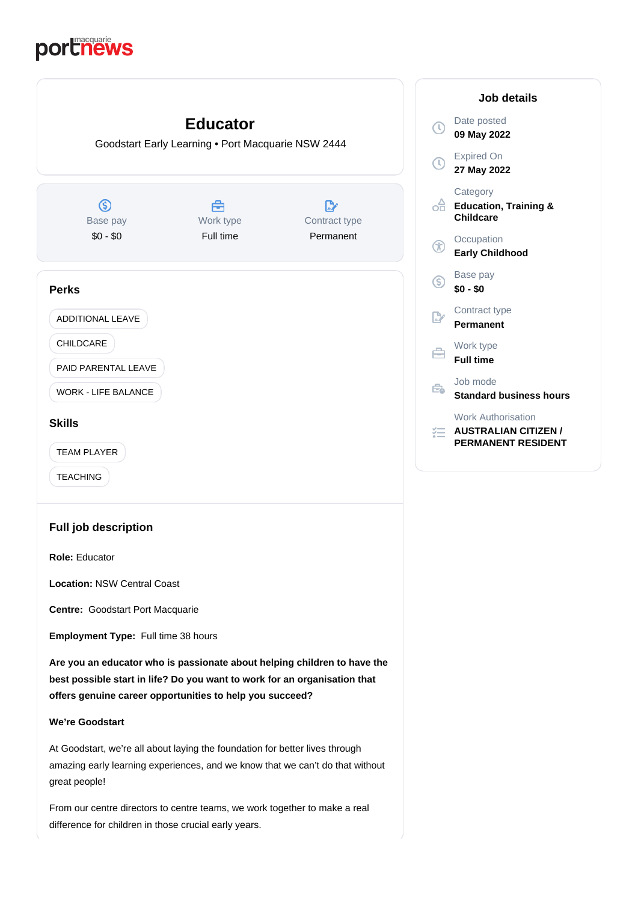# portnews



At Goodstart, we're all about laying the foundation for better lives through amazing early learning experiences, and we know that we can't do that without great people!

From our centre directors to centre teams, we work together to make a real difference for children in those crucial early years.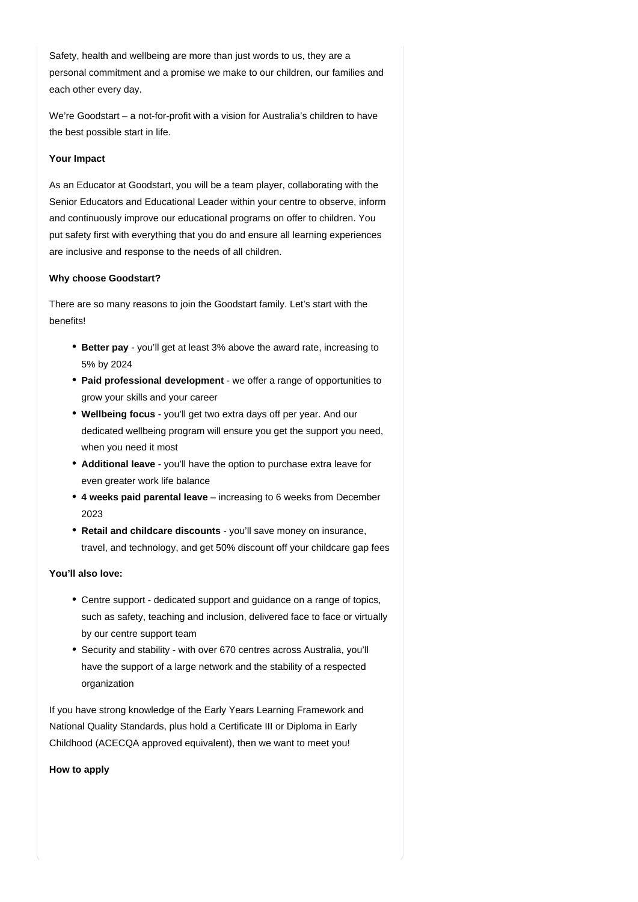Safety, health and wellbeing are more than just words to us, they are a personal commitment and a promise we make to our children, our families and each other every day.

We're Goodstart – a not-for-profit with a vision for Australia's children to have the best possible start in life.

#### **Your Impact**

As an Educator at Goodstart, you will be a team player, collaborating with the Senior Educators and Educational Leader within your centre to observe, inform and continuously improve our educational programs on offer to children. You put safety first with everything that you do and ensure all learning experiences are inclusive and response to the needs of all children.

#### **Why choose Goodstart?**

There are so many reasons to join the Goodstart family. Let's start with the benefits!

- **Better pay** you'll get at least 3% above the award rate, increasing to 5% by 2024
- Paid professional development we offer a range of opportunities to grow your skills and your career
- **Wellbeing focus** you'll get two extra days off per year. And our dedicated wellbeing program will ensure you get the support you need, when you need it most
- Additional leave you'll have the option to purchase extra leave for even greater work life balance
- 4 weeks paid parental leave increasing to 6 weeks from December 2023
- **Retail and childcare discounts** you'll save money on insurance, travel, and technology, and get 50% discount off your childcare gap fees

## **You'll also love:**

- Centre support dedicated support and guidance on a range of topics, such as safety, teaching and inclusion, delivered face to face or virtually by our centre support team
- Security and stability with over 670 centres across Australia, you'll have the support of a large network and the stability of a respected organization

If you have strong knowledge of the Early Years Learning Framework and National Quality Standards, plus hold a Certificate III or Diploma in Early Childhood (ACECQA approved equivalent), then we want to meet you!

**How to apply**